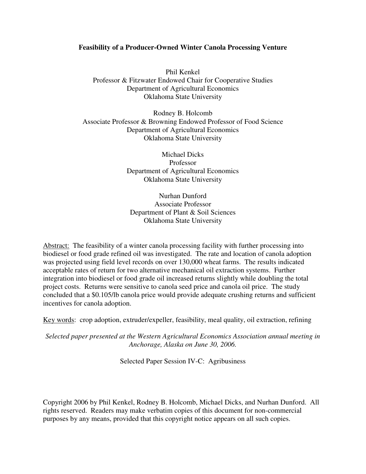# **Feasibility of a Producer-Owned Winter Canola Processing Venture**

Phil Kenkel Professor & Fitzwater Endowed Chair for Cooperative Studies Department of Agricultural Economics Oklahoma State University

Rodney B. Holcomb Associate Professor & Browning Endowed Professor of Food Science Department of Agricultural Economics Oklahoma State University

> Michael Dicks Professor Department of Agricultural Economics Oklahoma State University

Nurhan Dunford Associate Professor Department of Plant & Soil Sciences Oklahoma State University

Abstract: The feasibility of a winter canola processing facility with further processing into biodiesel or food grade refined oil was investigated. The rate and location of canola adoption was projected using field level records on over 130,000 wheat farms. The results indicated acceptable rates of return for two alternative mechanical oil extraction systems. Further integration into biodiesel or food grade oil increased returns slightly while doubling the total project costs. Returns were sensitive to canola seed price and canola oil price. The study concluded that a \$0.105/lb canola price would provide adequate crushing returns and sufficient incentives for canola adoption.

Key words: crop adoption, extruder/expeller, feasibility, meal quality, oil extraction, refining

*Selected paper presented at the Western Agricultural Economics Association annual meeting in Anchorage, Alaska on June 30, 2006.*

Selected Paper Session IV-C: Agribusiness

Copyright 2006 by Phil Kenkel, Rodney B. Holcomb, Michael Dicks, and Nurhan Dunford. All rights reserved. Readers may make verbatim copies of this document for non-commercial purposes by any means, provided that this copyright notice appears on all such copies.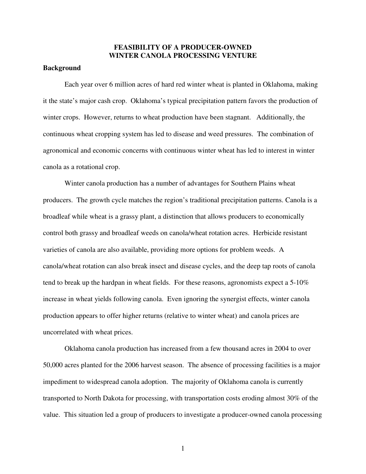# **FEASIBILITY OF A PRODUCER-OWNED WINTER CANOLA PROCESSING VENTURE**

## **Background**

Each year over 6 million acres of hard red winter wheat is planted in Oklahoma, making it the state's major cash crop. Oklahoma's typical precipitation pattern favors the production of winter crops. However, returns to wheat production have been stagnant. Additionally, the continuous wheat cropping system has led to disease and weed pressures. The combination of agronomical and economic concerns with continuous winter wheat has led to interest in winter canola as a rotational crop.

Winter canola production has a number of advantages for Southern Plains wheat producers. The growth cycle matches the region's traditional precipitation patterns. Canola is a broadleaf while wheat is a grassy plant, a distinction that allows producers to economically control both grassy and broadleaf weeds on canola/wheat rotation acres. Herbicide resistant varieties of canola are also available, providing more options for problem weeds. A canola/wheat rotation can also break insect and disease cycles, and the deep tap roots of canola tend to break up the hardpan in wheat fields. For these reasons, agronomists expect a 5-10% increase in wheat yields following canola. Even ignoring the synergist effects, winter canola production appears to offer higher returns (relative to winter wheat) and canola prices are uncorrelated with wheat prices.

Oklahoma canola production has increased from a few thousand acres in 2004 to over 50,000 acres planted for the 2006 harvest season. The absence of processing facilities is a major impediment to widespread canola adoption. The majority of Oklahoma canola is currently transported to North Dakota for processing, with transportation costs eroding almost 30% of the value. This situation led a group of producers to investigate a producer-owned canola processing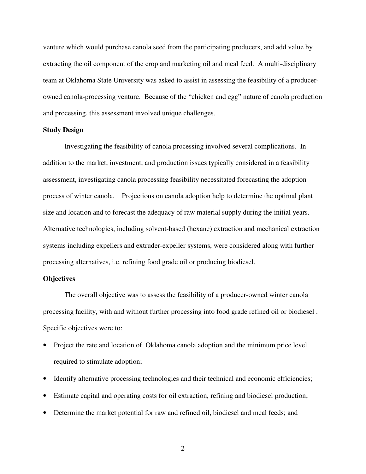venture which would purchase canola seed from the participating producers, and add value by extracting the oil component of the crop and marketing oil and meal feed. A multi-disciplinary team at Oklahoma State University was asked to assist in assessing the feasibility of a producerowned canola-processing venture. Because of the "chicken and egg" nature of canola production and processing, this assessment involved unique challenges.

## **Study Design**

Investigating the feasibility of canola processing involved several complications. In addition to the market, investment, and production issues typically considered in a feasibility assessment, investigating canola processing feasibility necessitated forecasting the adoption process of winter canola. Projections on canola adoption help to determine the optimal plant size and location and to forecast the adequacy of raw material supply during the initial years. Alternative technologies, including solvent-based (hexane) extraction and mechanical extraction systems including expellers and extruder-expeller systems, were considered along with further processing alternatives, i.e. refining food grade oil or producing biodiesel.

## **Objectives**

The overall objective was to assess the feasibility of a producer-owned winter canola processing facility, with and without further processing into food grade refined oil or biodiesel . Specific objectives were to:

- Project the rate and location of Oklahoma canola adoption and the minimum price level required to stimulate adoption;
- Identify alternative processing technologies and their technical and economic efficiencies;
- Estimate capital and operating costs for oil extraction, refining and biodiesel production;
- Determine the market potential for raw and refined oil, biodiesel and meal feeds; and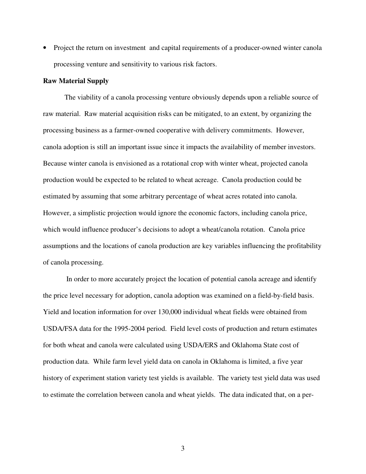• Project the return on investment and capital requirements of a producer-owned winter canola processing venture and sensitivity to various risk factors.

#### **Raw Material Supply**

The viability of a canola processing venture obviously depends upon a reliable source of raw material. Raw material acquisition risks can be mitigated, to an extent, by organizing the processing business as a farmer-owned cooperative with delivery commitments. However, canola adoption is still an important issue since it impacts the availability of member investors. Because winter canola is envisioned as a rotational crop with winter wheat, projected canola production would be expected to be related to wheat acreage. Canola production could be estimated by assuming that some arbitrary percentage of wheat acres rotated into canola. However, a simplistic projection would ignore the economic factors, including canola price, which would influence producer's decisions to adopt a wheat/canola rotation. Canola price assumptions and the locations of canola production are key variables influencing the profitability of canola processing.

In order to more accurately project the location of potential canola acreage and identify the price level necessary for adoption, canola adoption was examined on a field-by-field basis. Yield and location information for over 130,000 individual wheat fields were obtained from USDA/FSA data for the 1995-2004 period. Field level costs of production and return estimates for both wheat and canola were calculated using USDA/ERS and Oklahoma State cost of production data. While farm level yield data on canola in Oklahoma is limited, a five year history of experiment station variety test yields is available. The variety test yield data was used to estimate the correlation between canola and wheat yields. The data indicated that, on a per-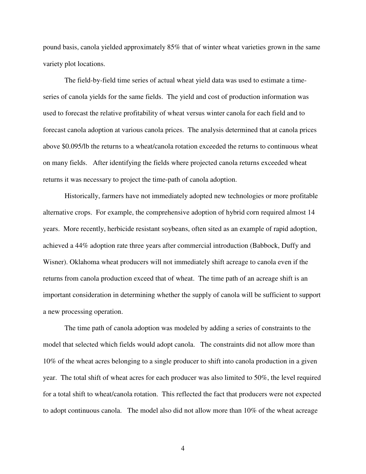pound basis, canola yielded approximately 85% that of winter wheat varieties grown in the same variety plot locations.

The field-by-field time series of actual wheat yield data was used to estimate a timeseries of canola yields for the same fields. The yield and cost of production information was used to forecast the relative profitability of wheat versus winter canola for each field and to forecast canola adoption at various canola prices. The analysis determined that at canola prices above \$0.095/lb the returns to a wheat/canola rotation exceeded the returns to continuous wheat on many fields. After identifying the fields where projected canola returns exceeded wheat returns it was necessary to project the time-path of canola adoption.

Historically, farmers have not immediately adopted new technologies or more profitable alternative crops. For example, the comprehensive adoption of hybrid corn required almost 14 years. More recently, herbicide resistant soybeans, often sited as an example of rapid adoption, achieved a 44% adoption rate three years after commercial introduction (Babbock, Duffy and Wisner). Oklahoma wheat producers will not immediately shift acreage to canola even if the returns from canola production exceed that of wheat. The time path of an acreage shift is an important consideration in determining whether the supply of canola will be sufficient to support a new processing operation.

The time path of canola adoption was modeled by adding a series of constraints to the model that selected which fields would adopt canola. The constraints did not allow more than 10% of the wheat acres belonging to a single producer to shift into canola production in a given year. The total shift of wheat acres for each producer was also limited to 50%, the level required for a total shift to wheat/canola rotation. This reflected the fact that producers were not expected to adopt continuous canola. The model also did not allow more than 10% of the wheat acreage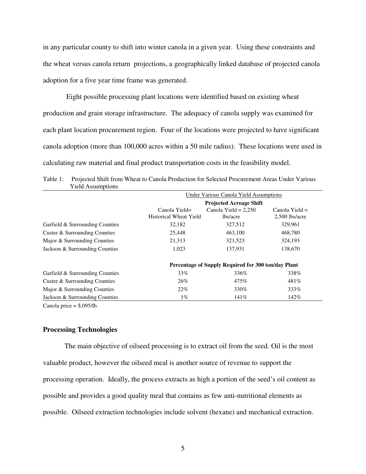in any particular county to shift into winter canola in a given year. Using these constraints and the wheat versus canola return projections, a geographically linked database of projected canola adoption for a five year time frame was generated.

Eight possible processing plant locations were identified based on existing wheat production and grain storage infrastructure. The adequacy of canola supply was examined for each plant location procurement region. Four of the locations were projected to have significant canola adoption (more than 100,000 acres within a 50 mile radius). These locations were used in calculating raw material and final product transportation costs in the feasibility model.

Table 1: Projected Shift from Wheat to Canola Production for Selected Procurement Areas Under Various Yield Assumptions

|                                 | Under Various Canola Yield Assumptions              |                                    |                                    |  |
|---------------------------------|-----------------------------------------------------|------------------------------------|------------------------------------|--|
|                                 | <b>Projected Acreage Shift</b>                      |                                    |                                    |  |
|                                 | $Canola Yield=$<br><b>Historical Wheat Yield</b>    | Canola Yield = $2,250$<br>lbs/acre | Canola Yield $=$<br>2,500 lbs/acre |  |
| Garfield & Surrounding Counties | 32,182                                              | 327,512                            | 329,961                            |  |
| Custer & Surrounding Counties   | 25,448                                              | 463,100                            | 468,780                            |  |
| Major & Surrounding Counties    | 21,313                                              | 321,523                            | 324,193                            |  |
| Jackson & Surrounding Counties  | 1,023                                               | 137.931                            | 138,670                            |  |
|                                 | Percentage of Supply Required for 300 ton/day Plant |                                    |                                    |  |
| Garfield & Surrounding Counties | 33%                                                 | 336\%                              | 338%                               |  |
| Custer & Surrounding Counties   | 26%                                                 | 475%                               | 481\%                              |  |
| Major & Surrounding Counties    | 22%                                                 | 330%                               | 333%                               |  |
| Jackson & Surrounding Counties  | $1\%$                                               | 141%                               | 142%                               |  |

Canola price = \$.095/lb.

## **Processing Technologies**

The main objective of oilseed processing is to extract oil from the seed. Oil is the most valuable product, however the oilseed meal is another source of revenue to support the processing operation. Ideally, the process extracts as high a portion of the seed's oil content as possible and provides a good quality meal that contains as few anti-nutritional elements as possible. Oilseed extraction technologies include solvent (hexane) and mechanical extraction.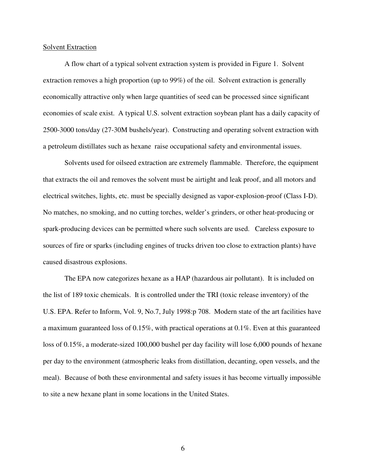#### Solvent Extraction

A flow chart of a typical solvent extraction system is provided in Figure 1. Solvent extraction removes a high proportion (up to 99%) of the oil. Solvent extraction is generally economically attractive only when large quantities of seed can be processed since significant economies of scale exist. A typical U.S. solvent extraction soybean plant has a daily capacity of 2500-3000 tons/day (27-30M bushels/year). Constructing and operating solvent extraction with a petroleum distillates such as hexane raise occupational safety and environmental issues.

Solvents used for oilseed extraction are extremely flammable. Therefore, the equipment that extracts the oil and removes the solvent must be airtight and leak proof, and all motors and electrical switches, lights, etc. must be specially designed as vapor-explosion-proof (Class I-D). No matches, no smoking, and no cutting torches, welder's grinders, or other heat-producing or spark-producing devices can be permitted where such solvents are used. Careless exposure to sources of fire or sparks (including engines of trucks driven too close to extraction plants) have caused disastrous explosions.

The EPA now categorizes hexane as a HAP (hazardous air pollutant). It is included on the list of 189 toxic chemicals. It is controlled under the TRI (toxic release inventory) of the U.S. EPA. Refer to Inform, Vol. 9, No.7, July 1998:p 708. Modern state of the art facilities have a maximum guaranteed loss of 0.15%, with practical operations at 0.1%. Even at this guaranteed loss of 0.15%, a moderate-sized 100,000 bushel per day facility will lose 6,000 pounds of hexane per day to the environment (atmospheric leaks from distillation, decanting, open vessels, and the meal). Because of both these environmental and safety issues it has become virtually impossible to site a new hexane plant in some locations in the United States.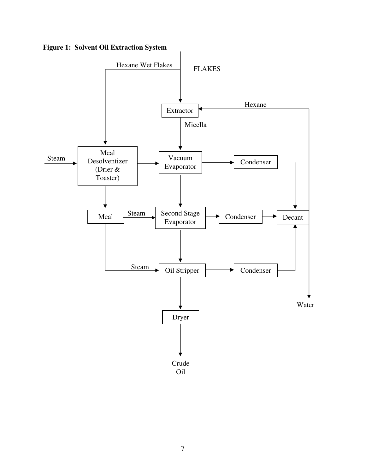**Figure 1: Solvent Oil Extraction System**

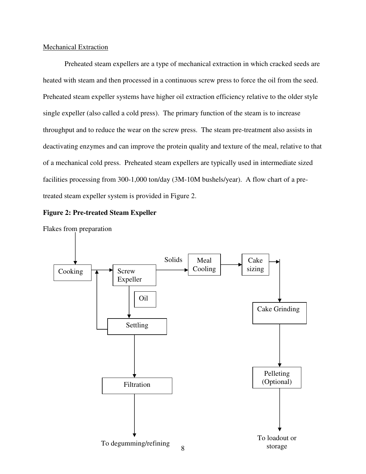## Mechanical Extraction

Preheated steam expellers are a type of mechanical extraction in which cracked seeds are heated with steam and then processed in a continuous screw press to force the oil from the seed. Preheated steam expeller systems have higher oil extraction efficiency relative to the older style single expeller (also called a cold press). The primary function of the steam is to increase throughput and to reduce the wear on the screw press. The steam pre-treatment also assists in deactivating enzymes and can improve the protein quality and texture of the meal, relative to that of a mechanical cold press. Preheated steam expellers are typically used in intermediate sized facilities processing from 300-1,000 ton/day (3M-10M bushels/year). A flow chart of a pretreated steam expeller system is provided in Figure 2.





Flakes from preparation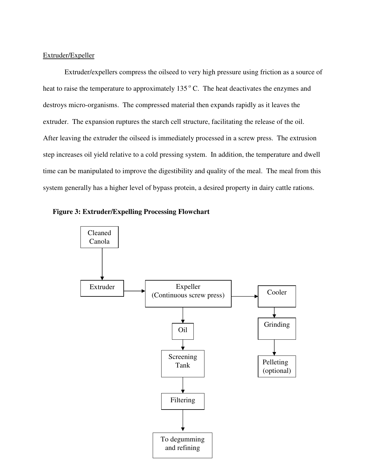# Extruder/Expeller

Extruder/expellers compress the oilseed to very high pressure using friction as a source of heat to raise the temperature to approximately  $135^{\circ}$  C. The heat deactivates the enzymes and destroys micro-organisms. The compressed material then expands rapidly as it leaves the extruder. The expansion ruptures the starch cell structure, facilitating the release of the oil. After leaving the extruder the oilseed is immediately processed in a screw press. The extrusion step increases oil yield relative to a cold pressing system. In addition, the temperature and dwell time can be manipulated to improve the digestibility and quality of the meal. The meal from this system generally has a higher level of bypass protein, a desired property in dairy cattle rations.



# **Figure 3: Extruder/Expelling Processing Flowchart**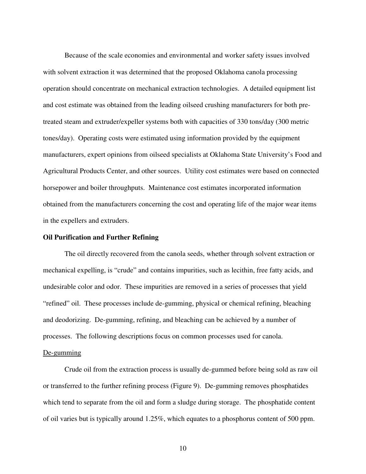Because of the scale economies and environmental and worker safety issues involved with solvent extraction it was determined that the proposed Oklahoma canola processing operation should concentrate on mechanical extraction technologies. A detailed equipment list and cost estimate was obtained from the leading oilseed crushing manufacturers for both pretreated steam and extruder/expeller systems both with capacities of 330 tons/day (300 metric tones/day). Operating costs were estimated using information provided by the equipment manufacturers, expert opinions from oilseed specialists at Oklahoma State University's Food and Agricultural Products Center, and other sources. Utility cost estimates were based on connected horsepower and boiler throughputs. Maintenance cost estimates incorporated information obtained from the manufacturers concerning the cost and operating life of the major wear items in the expellers and extruders.

## **Oil Purification and Further Refining**

The oil directly recovered from the canola seeds, whether through solvent extraction or mechanical expelling, is "crude" and contains impurities, such as lecithin, free fatty acids, and undesirable color and odor. These impurities are removed in a series of processes that yield "refined" oil. These processes include de-gumming, physical or chemical refining, bleaching and deodorizing. De-gumming, refining, and bleaching can be achieved by a number of processes. The following descriptions focus on common processes used for canola.

#### De-gumming

Crude oil from the extraction process is usually de-gummed before being sold as raw oil or transferred to the further refining process (Figure 9). De-gumming removes phosphatides which tend to separate from the oil and form a sludge during storage. The phosphatide content of oil varies but is typically around 1.25%, which equates to a phosphorus content of 500 ppm.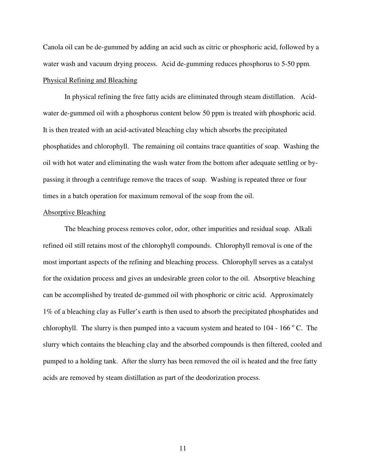Canola oil can be de-gummed by adding an acid such as citric or phosphoric acid, followed by a water wash and vacuum drying process. Acid de-gumming reduces phosphorus to 5-50 ppm. Physical Refining and Bleaching

In physical refining the free fatty acids are eliminated through steam distillation. Acidwater de-gummed oil with a phosphorus content below 50 ppm is treated with phosphoric acid. It is then treated with an acid-activated bleaching clay which absorbs the precipitated phosphatides and chlorophyll. The remaining oil contains trace quantities of soap. Washing the oil with hot water and eliminating the wash water from the bottom after adequate settling or bypassing it through a centrifuge remove the traces of soap. Washing is repeated three or four times in a batch operation for maximum removal of the soap from the oil.

#### Absorptive Bleaching

The bleaching process removes color, odor, other impurities and residual soap. Alkali refined oil still retains most of the chlorophyll compounds. Chlorophyll removal is one of the most important aspects of the refining and bleaching process. Chlorophyll serves as a catalyst for the oxidation process and gives an undesirable green color to the oil. Absorptive bleaching can be accomplished by treated de-gummed oil with phosphoric or citric acid. Approximately 1% of a bleaching clay as Fuller's earth is then used to absorb the precipitated phosphatides and chlorophyll. The slurry is then pumped into a vacuum system and heated to  $104 - 166$  °C. The slurry which contains the bleaching clay and the absorbed compounds is then filtered, cooled and pumped to a holding tank. After the slurry has been removed the oil is heated and the free fatty acids are removed by steam distillation as part of the deodorization process.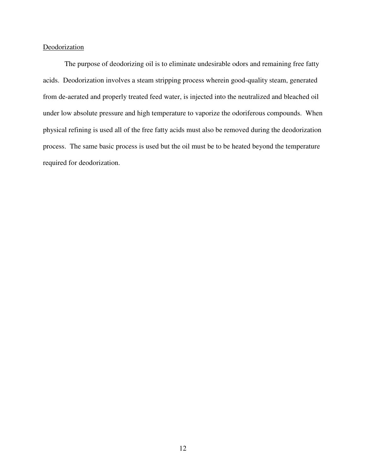# Deodorization

The purpose of deodorizing oil is to eliminate undesirable odors and remaining free fatty acids. Deodorization involves a steam stripping process wherein good-quality steam, generated from de-aerated and properly treated feed water, is injected into the neutralized and bleached oil under low absolute pressure and high temperature to vaporize the odoriferous compounds. When physical refining is used all of the free fatty acids must also be removed during the deodorization process. The same basic process is used but the oil must be to be heated beyond the temperature required for deodorization.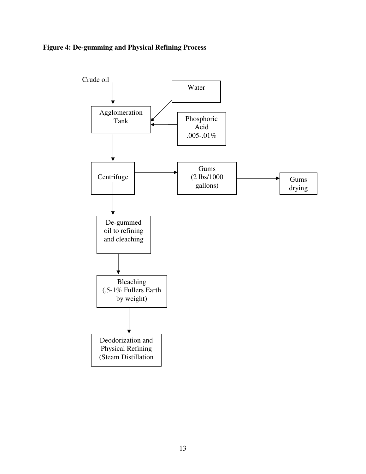# **Figure 4: De-gumming and Physical Refining Process**

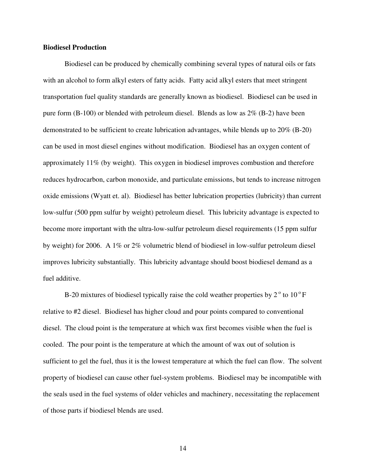## **Biodiesel Production**

Biodiesel can be produced by chemically combining several types of natural oils or fats with an alcohol to form alkyl esters of fatty acids. Fatty acid alkyl esters that meet stringent transportation fuel quality standards are generally known as biodiesel. Biodiesel can be used in pure form (B-100) or blended with petroleum diesel. Blends as low as 2% (B-2) have been demonstrated to be sufficient to create lubrication advantages, while blends up to 20% (B-20) can be used in most diesel engines without modification. Biodiesel has an oxygen content of approximately 11% (by weight). This oxygen in biodiesel improves combustion and therefore reduces hydrocarbon, carbon monoxide, and particulate emissions, but tends to increase nitrogen oxide emissions (Wyatt et. al). Biodiesel has better lubrication properties (lubricity) than current low-sulfur (500 ppm sulfur by weight) petroleum diesel. This lubricity advantage is expected to become more important with the ultra-low-sulfur petroleum diesel requirements (15 ppm sulfur by weight) for 2006. A 1% or 2% volumetric blend of biodiesel in low-sulfur petroleum diesel improves lubricity substantially. This lubricity advantage should boost biodiesel demand as a fuel additive.

B-20 mixtures of biodiesel typically raise the cold weather properties by  $2^{\circ}$  to  $10^{\circ}$  F relative to #2 diesel. Biodiesel has higher cloud and pour points compared to conventional diesel. The cloud point is the temperature at which wax first becomes visible when the fuel is cooled. The pour point is the temperature at which the amount of wax out of solution is sufficient to gel the fuel, thus it is the lowest temperature at which the fuel can flow. The solvent property of biodiesel can cause other fuel-system problems. Biodiesel may be incompatible with the seals used in the fuel systems of older vehicles and machinery, necessitating the replacement of those parts if biodiesel blends are used.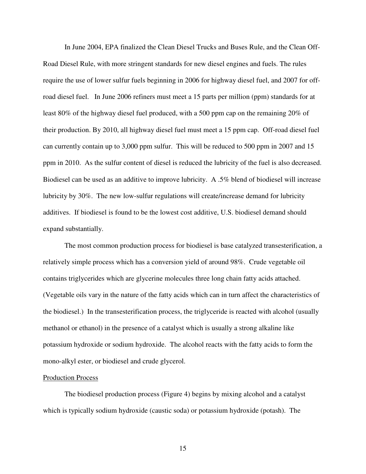In June 2004, EPA finalized the Clean Diesel Trucks and Buses Rule, and the Clean Off-Road Diesel Rule, with more stringent standards for new diesel engines and fuels. The rules require the use of lower sulfur fuels beginning in 2006 for highway diesel fuel, and 2007 for offroad diesel fuel. In June 2006 refiners must meet a 15 parts per million (ppm) standards for at least 80% of the highway diesel fuel produced, with a 500 ppm cap on the remaining 20% of their production. By 2010, all highway diesel fuel must meet a 15 ppm cap. Off-road diesel fuel can currently contain up to 3,000 ppm sulfur. This will be reduced to 500 ppm in 2007 and 15 ppm in 2010. As the sulfur content of diesel is reduced the lubricity of the fuel is also decreased. Biodiesel can be used as an additive to improve lubricity. A .5% blend of biodiesel will increase lubricity by 30%. The new low-sulfur regulations will create/increase demand for lubricity additives. If biodiesel is found to be the lowest cost additive, U.S. biodiesel demand should expand substantially.

The most common production process for biodiesel is base catalyzed transesterification, a relatively simple process which has a conversion yield of around 98%. Crude vegetable oil contains triglycerides which are glycerine molecules three long chain fatty acids attached. (Vegetable oils vary in the nature of the fatty acids which can in turn affect the characteristics of the biodiesel.) In the transesterification process, the triglyceride is reacted with alcohol (usually methanol or ethanol) in the presence of a catalyst which is usually a strong alkaline like potassium hydroxide or sodium hydroxide. The alcohol reacts with the fatty acids to form the mono-alkyl ester, or biodiesel and crude glycerol.

#### Production Process

The biodiesel production process (Figure 4) begins by mixing alcohol and a catalyst which is typically sodium hydroxide (caustic soda) or potassium hydroxide (potash). The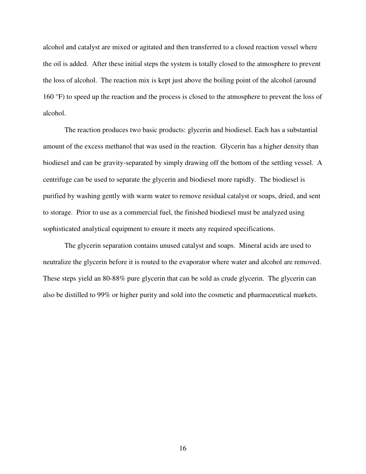alcohol and catalyst are mixed or agitated and then transferred to a closed reaction vessel where the oil is added. After these initial steps the system is totally closed to the atmosphere to prevent the loss of alcohol. The reaction mix is kept just above the boiling point of the alcohol (around 160 °F) to speed up the reaction and the process is closed to the atmosphere to prevent the loss of alcohol.

The reaction produces two basic products: glycerin and biodiesel. Each has a substantial amount of the excess methanol that was used in the reaction. Glycerin has a higher density than biodiesel and can be gravity-separated by simply drawing off the bottom of the settling vessel. A centrifuge can be used to separate the glycerin and biodiesel more rapidly. The biodiesel is purified by washing gently with warm water to remove residual catalyst or soaps, dried, and sent to storage. Prior to use as a commercial fuel, the finished biodiesel must be analyzed using sophisticated analytical equipment to ensure it meets any required specifications.

The glycerin separation contains unused catalyst and soaps. Mineral acids are used to neutralize the glycerin before it is routed to the evaporator where water and alcohol are removed. These steps yield an 80-88% pure glycerin that can be sold as crude glycerin. The glycerin can also be distilled to 99% or higher purity and sold into the cosmetic and pharmaceutical markets.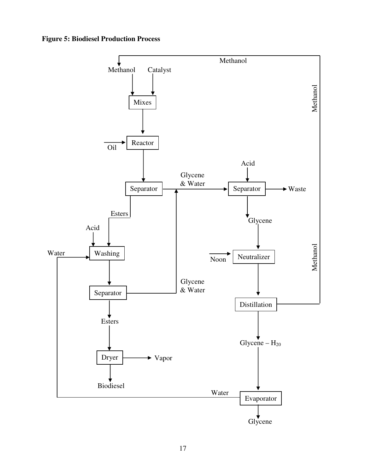**Figure 5: Biodiesel Production Process**

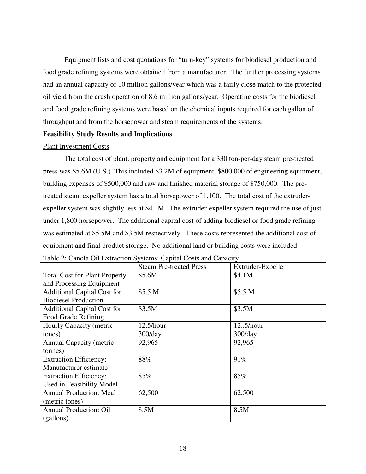Equipment lists and cost quotations for "turn-key" systems for biodiesel production and food grade refining systems were obtained from a manufacturer. The further processing systems had an annual capacity of 10 million gallons/year which was a fairly close match to the protected oil yield from the crush operation of 8.6 million gallons/year. Operating costs for the biodiesel and food grade refining systems were based on the chemical inputs required for each gallon of throughput and from the horsepower and steam requirements of the systems.

# **Feasibility Study Results and Implications**

# Plant Investment Costs

The total cost of plant, property and equipment for a 330 ton-per-day steam pre-treated press was \$5.6M (U.S.) This included \$3.2M of equipment, \$800,000 of engineering equipment, building expenses of \$500,000 and raw and finished material storage of \$750,000. The pretreated steam expeller system has a total horsepower of 1,100. The total cost of the extruderexpeller system was slightly less at \$4.1M. The extruder-expeller system required the use of just under 1,800 horsepower. The additional capital cost of adding biodiesel or food grade refining was estimated at \$5.5M and \$3.5M respectively. These costs represented the additional cost of equipment and final product storage. No additional land or building costs were included.

| Table 2: Canola Oil Extraction Systems: Capital Costs and Capacity |                                |                    |  |  |
|--------------------------------------------------------------------|--------------------------------|--------------------|--|--|
|                                                                    | <b>Steam Pre-treated Press</b> | Extruder-Expeller  |  |  |
| <b>Total Cost for Plant Property</b>                               | \$5.6M                         | \$4.1M             |  |  |
| and Processing Equipment                                           |                                |                    |  |  |
| <b>Additional Capital Cost for</b>                                 | \$5.5 <sub>M</sub>             | \$5.5 <sub>M</sub> |  |  |
| <b>Biodiesel Production</b>                                        |                                |                    |  |  |
| <b>Additional Capital Cost for</b>                                 | \$3.5M                         | \$3.5M             |  |  |
| Food Grade Refining                                                |                                |                    |  |  |
| Hourly Capacity (metric                                            | 12.5/hour                      | 125/hour           |  |  |
| tones)                                                             | $300$ /day                     | $300$ /day         |  |  |
| <b>Annual Capacity (metric</b>                                     | 92,965                         | 92,965             |  |  |
| tonnes)                                                            |                                |                    |  |  |
| <b>Extraction Efficiency:</b>                                      | 88%                            | 91%                |  |  |
| Manufacturer estimate                                              |                                |                    |  |  |
| <b>Extraction Efficiency:</b>                                      | 85%                            | 85%                |  |  |
| Used in Feasibility Model                                          |                                |                    |  |  |
| <b>Annual Production: Meal</b>                                     | 62,500                         | 62,500             |  |  |
| (metric tones)                                                     |                                |                    |  |  |
| <b>Annual Production: Oil</b>                                      | 8.5M                           | 8.5M               |  |  |
| (gallons)                                                          |                                |                    |  |  |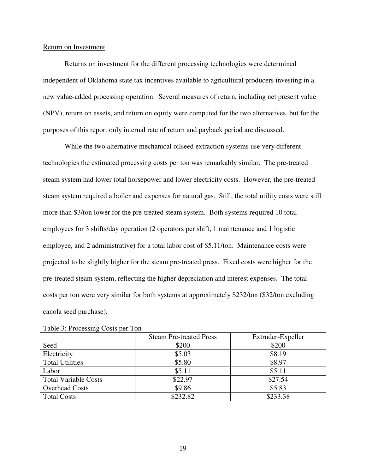## Return on Investment

Returns on investment for the different processing technologies were determined independent of Oklahoma state tax incentives available to agricultural producers investing in a new value-added processing operation. Several measures of return, including net present value (NPV), return on assets, and return on equity were computed for the two alternatives, but for the purposes of this report only internal rate of return and payback period are discussed.

While the two alternative mechanical oilseed extraction systems use very different technologies the estimated processing costs per ton was remarkably similar. The pre-treated steam system had lower total horsepower and lower electricity costs. However, the pre-treated steam system required a boiler and expenses for natural gas. Still, the total utility costs were still more than \$3/ton lower for the pre-treated steam system. Both systems required 10 total employees for 3 shifts/day operation (2 operators per shift, 1 maintenance and 1 logistic employee, and 2 administrative) for a total labor cost of \$5.11/ton. Maintenance costs were projected to be slightly higher for the steam pre-treated press. Fixed costs were higher for the pre-treated steam system, reflecting the higher depreciation and interest expenses. The total costs per ton were very similar for both systems at approximately \$232/ton (\$32/ton excluding canola seed purchase).

| Table 3: Processing Costs per Ton |                                |                   |  |  |
|-----------------------------------|--------------------------------|-------------------|--|--|
|                                   | <b>Steam Pre-treated Press</b> | Extruder-Expeller |  |  |
| Seed                              | \$200                          | \$200             |  |  |
| Electricity                       | \$5.03                         | \$8.19            |  |  |
| <b>Total Utilities</b>            | \$5.80                         | \$8.97            |  |  |
| Labor                             | \$5.11                         | \$5.11            |  |  |
| <b>Total Variable Costs</b>       | \$22.97                        | \$27.54           |  |  |
| <b>Overhead Costs</b>             | \$9.86                         | \$5.83            |  |  |
| <b>Total Costs</b>                | \$232.82                       | \$233.38          |  |  |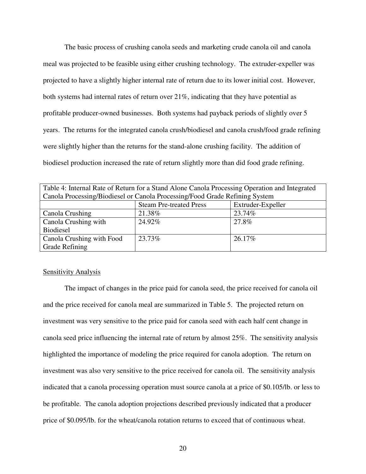The basic process of crushing canola seeds and marketing crude canola oil and canola meal was projected to be feasible using either crushing technology. The extruder-expeller was projected to have a slightly higher internal rate of return due to its lower initial cost. However, both systems had internal rates of return over 21%, indicating that they have potential as profitable producer-owned businesses. Both systems had payback periods of slightly over 5 years. The returns for the integrated canola crush/biodiesel and canola crush/food grade refining were slightly higher than the returns for the stand-alone crushing facility. The addition of biodiesel production increased the rate of return slightly more than did food grade refining.

| Table 4: Internal Rate of Return for a Stand Alone Canola Processing Operation and Integrated |                                |                   |  |
|-----------------------------------------------------------------------------------------------|--------------------------------|-------------------|--|
| Canola Processing/Biodiesel or Canola Processing/Food Grade Refining System                   |                                |                   |  |
|                                                                                               | <b>Steam Pre-treated Press</b> | Extruder-Expeller |  |
| Canola Crushing                                                                               | 21.38%                         | 23.74%            |  |
| Canola Crushing with                                                                          | 24.92%                         | 27.8%             |  |
| <b>Biodiesel</b>                                                                              |                                |                   |  |
| Canola Crushing with Food                                                                     | 23.73%                         | 26.17%            |  |
| Grade Refining                                                                                |                                |                   |  |

#### Sensitivity Analysis

The impact of changes in the price paid for canola seed, the price received for canola oil and the price received for canola meal are summarized in Table 5. The projected return on investment was very sensitive to the price paid for canola seed with each half cent change in canola seed price influencing the internal rate of return by almost 25%. The sensitivity analysis highlighted the importance of modeling the price required for canola adoption. The return on investment was also very sensitive to the price received for canola oil. The sensitivity analysis indicated that a canola processing operation must source canola at a price of \$0.105/lb. or less to be profitable. The canola adoption projections described previously indicated that a producer price of \$0.095/lb. for the wheat/canola rotation returns to exceed that of continuous wheat.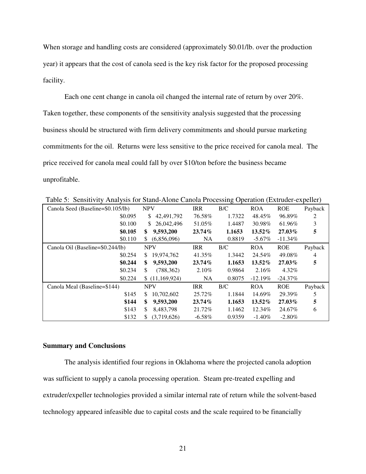When storage and handling costs are considered (approximately \$0.01/lb. over the production year) it appears that the cost of canola seed is the key risk factor for the proposed processing facility.

Each one cent change in canola oil changed the internal rate of return by over 20%. Taken together, these components of the sensitivity analysis suggested that the processing business should be structured with firm delivery commitments and should pursue marketing commitments for the oil. Returns were less sensitive to the price received for canola meal. The price received for canola meal could fall by over \$10/ton before the business became unprofitable.

| Twore $\sigma$ . Density $\tau$ that you for bund $\tau$ from exhibit Freecosing Operation (Eatracer experier) |                   |            |        |            |            |         |
|----------------------------------------------------------------------------------------------------------------|-------------------|------------|--------|------------|------------|---------|
| Canola Seed (Baseline=\$0.105/lb)                                                                              | <b>NPV</b>        | <b>IRR</b> | B/C    | <b>ROA</b> | <b>ROE</b> | Payback |
| \$0.095                                                                                                        | 42,491,792<br>\$  | 76.58%     | 1.7322 | 48.45%     | 96.89%     | 2       |
| \$0.100                                                                                                        | 26,042,496<br>S.  | 51.05%     | 1.4487 | 30.98%     | 61.96%     | 3       |
| \$0.105                                                                                                        | 9,593,200<br>\$   | $23.74\%$  | 1.1653 | $13.52\%$  | 27.03%     | 5       |
| \$0.110                                                                                                        | (6,856,096)<br>S. | NA.        | 0.8819 | $-5.67\%$  | $-11.34\%$ |         |
| Canola Oil (Baseline=\$0.244/lb)                                                                               | <b>NPV</b>        | <b>IRR</b> | B/C    | <b>ROA</b> | <b>ROE</b> | Payback |
| \$0.254                                                                                                        | 19,974,762<br>S.  | 41.35%     | 1.3442 | 24.54%     | 49.08%     | 4       |
| \$0.244                                                                                                        | 9,593,200<br>\$   | $23.74\%$  | 1.1653 | 13.52%     | 27.03%     | 5       |
| \$0.234                                                                                                        | \$.<br>(788, 362) | 2.10%      | 0.9864 | 2.16%      | 4.32%      |         |
| \$0.224                                                                                                        | \$(11,169,924)    | <b>NA</b>  | 0.8075 | $-12.19%$  | $-24.37\%$ |         |
| Canola Meal (Baseline=\$144)                                                                                   | <b>NPV</b>        | <b>IRR</b> | B/C    | <b>ROA</b> | <b>ROE</b> | Payback |
| \$145                                                                                                          | 10,702,602<br>\$. | 25.72%     | 1.1844 | 14.69%     | 29.39%     | 5       |
| \$144                                                                                                          | \$<br>9,593,200   | $23.74\%$  | 1.1653 | $13.52\%$  | 27.03%     | 5       |
| \$143                                                                                                          | 8.483.798<br>\$.  | 21.72%     | 1.1462 | 12.34%     | 24.67%     | 6       |
| \$132                                                                                                          | (3,719,626)<br>S. | $-6.58\%$  | 0.9359 | $-1.40\%$  | $-2.80\%$  |         |

Table 5: Sensitivity Analysis for Stand-Alone Canola Processing Operation (Extruder-expeller)

## **Summary and Conclusions**

The analysis identified four regions in Oklahoma where the projected canola adoption was sufficient to supply a canola processing operation. Steam pre-treated expelling and extruder/expeller technologies provided a similar internal rate of return while the solvent-based technology appeared infeasible due to capital costs and the scale required to be financially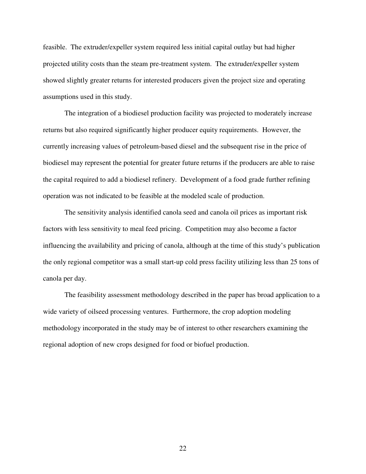feasible. The extruder/expeller system required less initial capital outlay but had higher projected utility costs than the steam pre-treatment system. The extruder/expeller system showed slightly greater returns for interested producers given the project size and operating assumptions used in this study.

The integration of a biodiesel production facility was projected to moderately increase returns but also required significantly higher producer equity requirements. However, the currently increasing values of petroleum-based diesel and the subsequent rise in the price of biodiesel may represent the potential for greater future returns if the producers are able to raise the capital required to add a biodiesel refinery. Development of a food grade further refining operation was not indicated to be feasible at the modeled scale of production.

The sensitivity analysis identified canola seed and canola oil prices as important risk factors with less sensitivity to meal feed pricing. Competition may also become a factor influencing the availability and pricing of canola, although at the time of this study's publication the only regional competitor was a small start-up cold press facility utilizing less than 25 tons of canola per day.

The feasibility assessment methodology described in the paper has broad application to a wide variety of oilseed processing ventures. Furthermore, the crop adoption modeling methodology incorporated in the study may be of interest to other researchers examining the regional adoption of new crops designed for food or biofuel production.